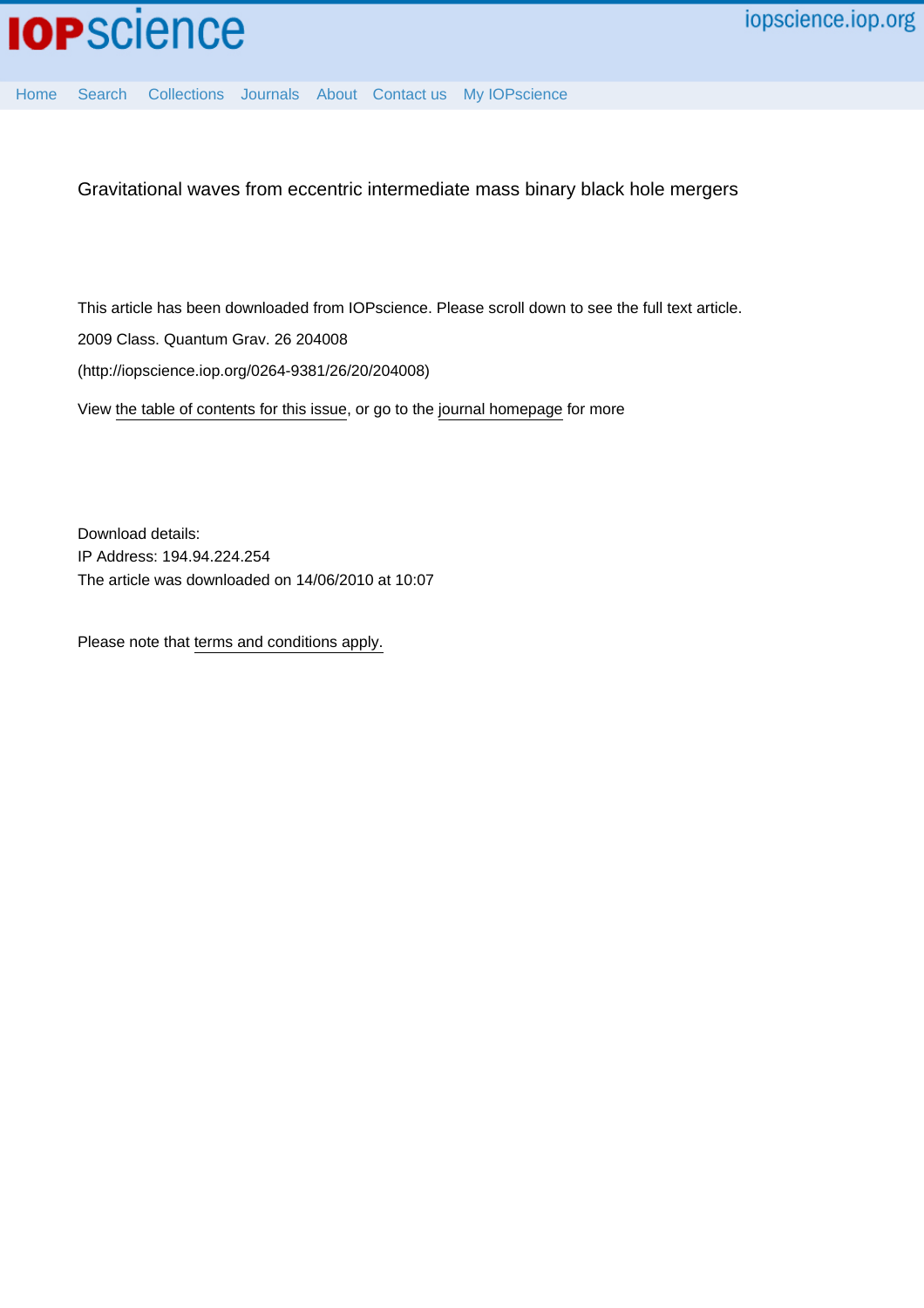

[Home](http://iopscience.iop.org/) [Search](http://iopscience.iop.org/search) [Collections](http://iopscience.iop.org/collections) [Journals](http://iopscience.iop.org/journals) [About](http://iopscience.iop.org/page/aboutioppublishing) [Contact us](http://iopscience.iop.org/contact) [My IOPscience](http://iopscience.iop.org/myiopscience)

Gravitational waves from eccentric intermediate mass binary black hole mergers

This article has been downloaded from IOPscience. Please scroll down to see the full text article. 2009 Class. Quantum Grav. 26 204008 (http://iopscience.iop.org/0264-9381/26/20/204008)

View [the table of contents for this issue](http://iopscience.iop.org/0264-9381/26/20), or go to the [journal homepage](http://iopscience.iop.org/0264-9381) for more

Download details: IP Address: 194.94.224.254 The article was downloaded on 14/06/2010 at 10:07

Please note that [terms and conditions apply.](http://iopscience.iop.org/page/terms)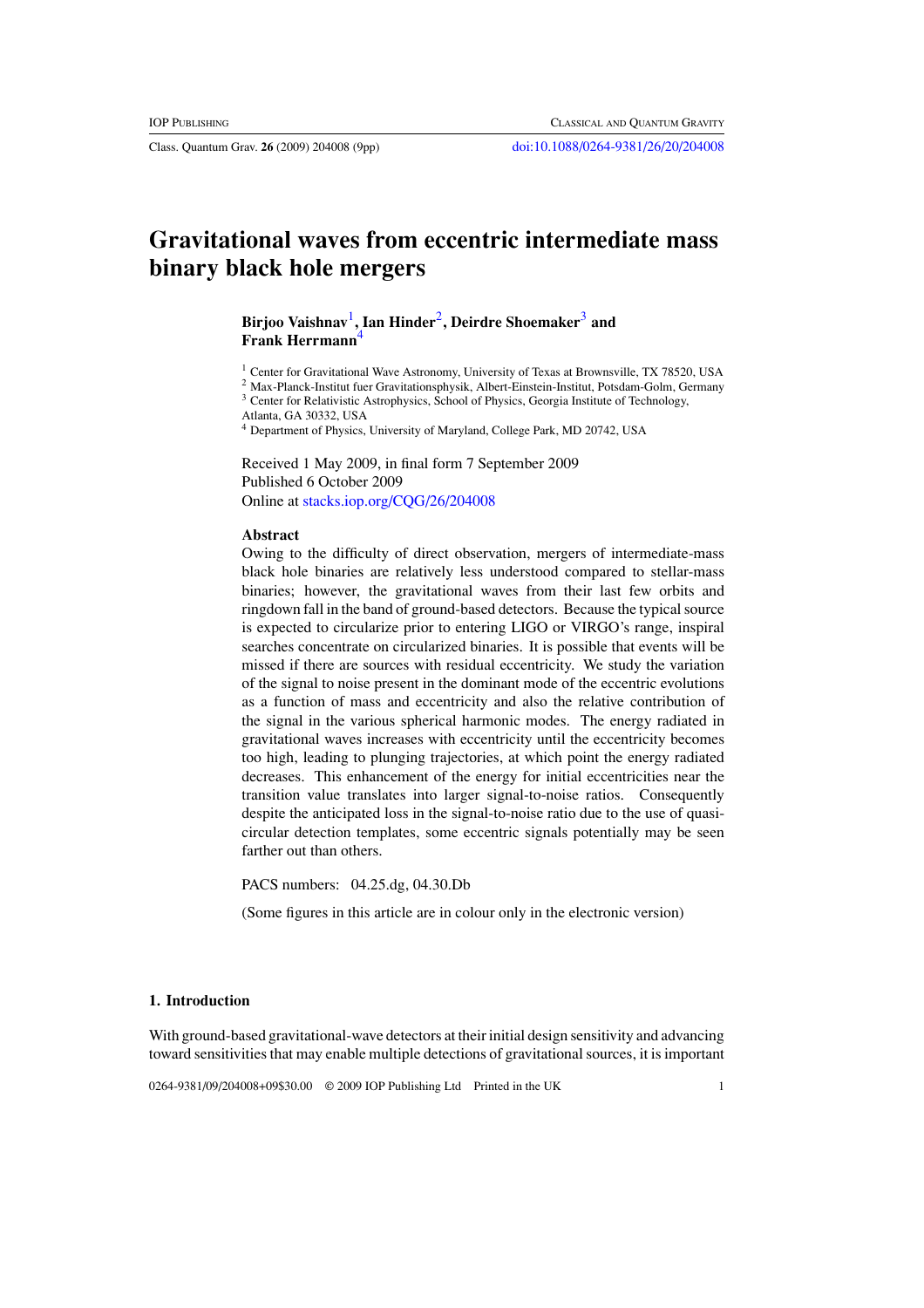# **Gravitational waves from eccentric intermediate mass binary black hole mergers**

## **Birjoo Vaishnav**1**, Ian Hinder**2**, Deirdre Shoemaker**<sup>3</sup> **and Frank Herrmann**<sup>4</sup>

<sup>1</sup> Center for Gravitational Wave Astronomy, University of Texas at Brownsville, TX 78520, USA

<sup>2</sup> Max-Planck-Institut fuer Gravitationsphysik, Albert-Einstein-Institut, Potsdam-Golm, Germany <sup>3</sup> Center for Relativistic Astrophysics, School of Physics, Georgia Institute of Technology,

Atlanta, GA 30332, USA

<sup>4</sup> Department of Physics, University of Maryland, College Park, MD 20742, USA

Received 1 May 2009, in final form 7 September 2009 Published 6 October 2009 Online at [stacks.iop.org/CQG/26/204008](http://stacks.iop.org/CQG/26/204008)

## **Abstract**

Owing to the difficulty of direct observation, mergers of intermediate-mass black hole binaries are relatively less understood compared to stellar-mass binaries; however, the gravitational waves from their last few orbits and ringdown fall in the band of ground-based detectors. Because the typical source is expected to circularize prior to entering LIGO or VIRGO's range, inspiral searches concentrate on circularized binaries. It is possible that events will be missed if there are sources with residual eccentricity. We study the variation of the signal to noise present in the dominant mode of the eccentric evolutions as a function of mass and eccentricity and also the relative contribution of the signal in the various spherical harmonic modes. The energy radiated in gravitational waves increases with eccentricity until the eccentricity becomes too high, leading to plunging trajectories, at which point the energy radiated decreases. This enhancement of the energy for initial eccentricities near the transition value translates into larger signal-to-noise ratios. Consequently despite the anticipated loss in the signal-to-noise ratio due to the use of quasicircular detection templates, some eccentric signals potentially may be seen farther out than others.

PACS numbers: 04.25.dg, 04.30.Db

(Some figures in this article are in colour only in the electronic version)

## **1. Introduction**

With ground-based gravitational-wave detectors at their initial design sensitivity and advancing toward sensitivities that may enable multiple detections of gravitational sources, it is important

0264-9381/09/204008+09\$30.00 © 2009 IOP Publishing Ltd Printed in the UK 1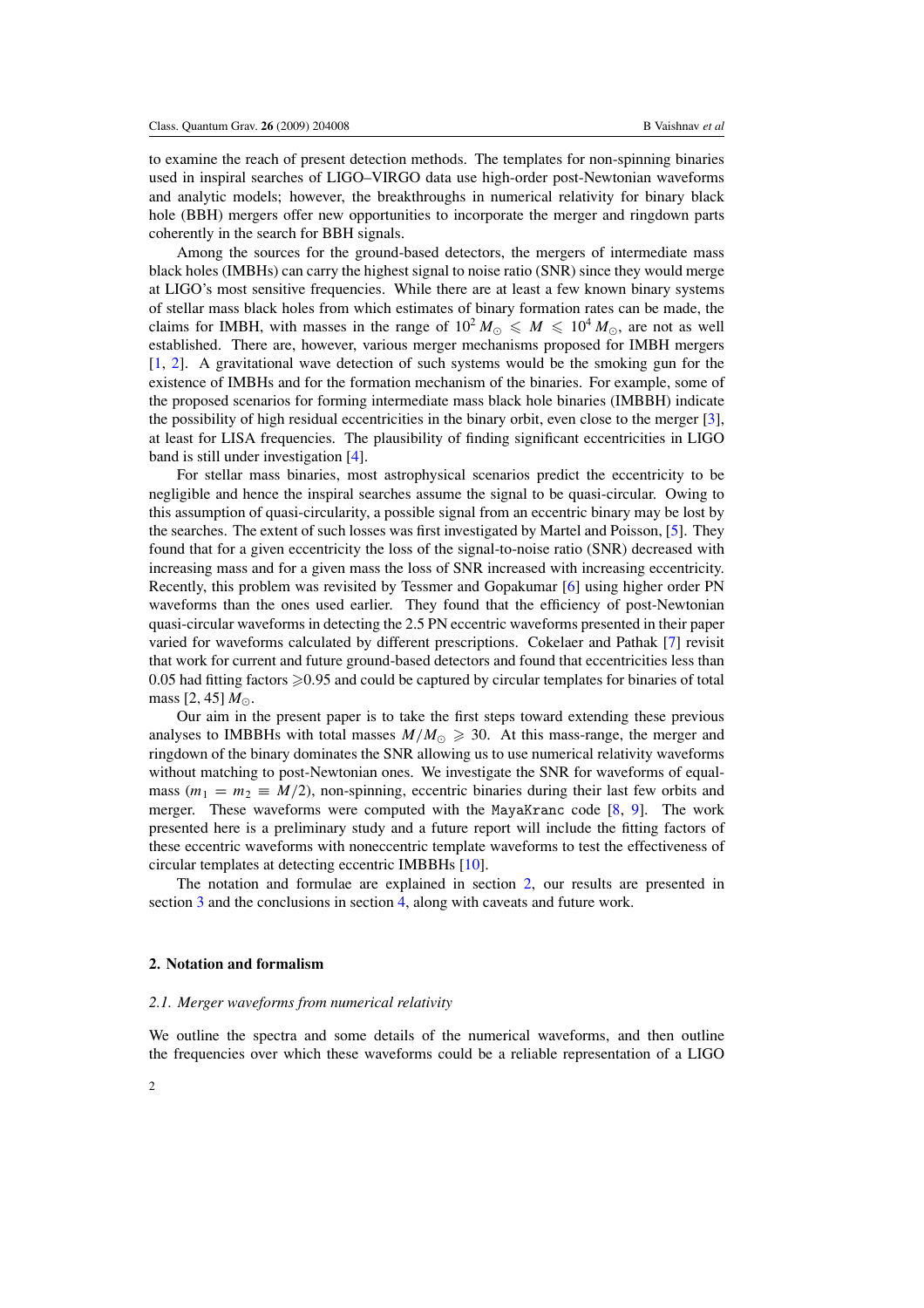to examine the reach of present detection methods. The templates for non-spinning binaries used in inspiral searches of LIGO–VIRGO data use high-order post-Newtonian waveforms and analytic models; however, the breakthroughs in numerical relativity for binary black hole (BBH) mergers offer new opportunities to incorporate the merger and ringdown parts coherently in the search for BBH signals.

Among the sources for the ground-based detectors, the mergers of intermediate mass black holes (IMBHs) can carry the highest signal to noise ratio (SNR) since they would merge at LIGO's most sensitive frequencies. While there are at least a few known binary systems of stellar mass black holes from which estimates of binary formation rates can be made, the claims for IMBH, with masses in the range of  $10^2 M_{\odot} \leqslant M \leqslant 10^4 M_{\odot}$ , are not as well established. There are, however, various merger mechanisms proposed for IMBH mergers [\[1](#page-9-0), [2\]](#page-9-0). A gravitational wave detection of such systems would be the smoking gun for the existence of IMBHs and for the formation mechanism of the binaries. For example, some of the proposed scenarios for forming intermediate mass black hole binaries (IMBBH) indicate the possibility of high residual eccentricities in the binary orbit, even close to the merger [\[3\]](#page-9-0), at least for LISA frequencies. The plausibility of finding significant eccentricities in LIGO band is still under investigation [\[4](#page-9-0)].

For stellar mass binaries, most astrophysical scenarios predict the eccentricity to be negligible and hence the inspiral searches assume the signal to be quasi-circular. Owing to this assumption of quasi-circularity, a possible signal from an eccentric binary may be lost by the searches. The extent of such losses was first investigated by Martel and Poisson, [\[5\]](#page-9-0). They found that for a given eccentricity the loss of the signal-to-noise ratio (SNR) decreased with increasing mass and for a given mass the loss of SNR increased with increasing eccentricity. Recently, this problem was revisited by Tessmer and Gopakumar [\[6](#page-9-0)] using higher order PN waveforms than the ones used earlier. They found that the efficiency of post-Newtonian quasi-circular waveforms in detecting the 2.5 PN eccentric waveforms presented in their paper varied for waveforms calculated by different prescriptions. Cokelaer and Pathak [\[7](#page-9-0)] revisit that work for current and future ground-based detectors and found that eccentricities less than 0.05 had fitting factors  $\geq 0.95$  and could be captured by circular templates for binaries of total mass  $[2, 45] M_{\odot}$ .

Our aim in the present paper is to take the first steps toward extending these previous analyses to IMBBHs with total masses  $M/M_{\odot} \geqslant 30$ . At this mass-range, the merger and ringdown of the binary dominates the SNR allowing us to use numerical relativity waveforms without matching to post-Newtonian ones. We investigate the SNR for waveforms of equalmass  $(m_1 = m_2 \equiv M/2)$ , non-spinning, eccentric binaries during their last few orbits and merger. These waveforms were computed with the MayaKranc code [\[8](#page-9-0), [9\]](#page-9-0). The work presented here is a preliminary study and a future report will include the fitting factors of these eccentric waveforms with noneccentric template waveforms to test the effectiveness of circular templates at detecting eccentric IMBBHs [\[10\]](#page-9-0).

The notation and formulae are explained in section 2, our results are presented in section [3](#page-4-0) and the conclusions in section [4,](#page-8-0) along with caveats and future work.

#### **2. Notation and formalism**

#### *2.1. Merger waveforms from numerical relativity*

We outline the spectra and some details of the numerical waveforms, and then outline the frequencies over which these waveforms could be a reliable representation of a LIGO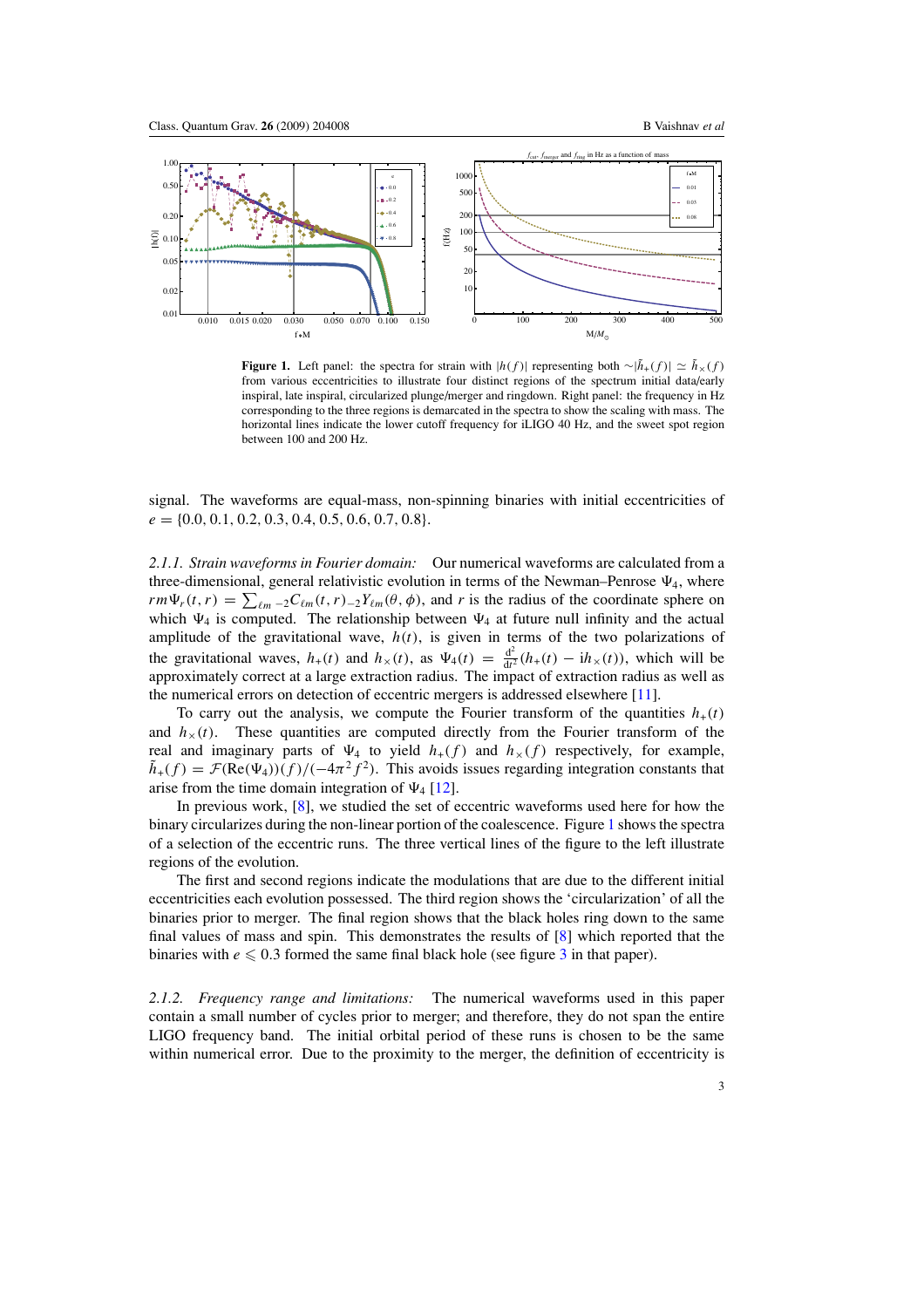<span id="page-3-0"></span>

**Figure 1.** Left panel: the spectra for strain with  $|h(f)|$  representing both ∼ $|\tilde{h}_+(f)| \simeq \tilde{h}_{\times}(f)$ from various eccentricities to illustrate four distinct regions of the spectrum initial data/early inspiral, late inspiral, circularized plunge/merger and ringdown. Right panel: the frequency in Hz corresponding to the three regions is demarcated in the spectra to show the scaling with mass. The horizontal lines indicate the lower cutoff frequency for iLIGO 40 Hz, and the sweet spot region between 100 and 200 Hz.

signal. The waveforms are equal-mass, non-spinning binaries with initial eccentricities of *e* = {0*.*0*,* 0*.*1*,* 0*.*2*,* 0*.*3*,* 0*.*4*,* 0*.*5*,* 0*.*6*,* 0*.*7*,* 0*.*8}.

*2.1.1. Strain waveforms in Fourier domain:* Our numerical waveforms are calculated from a three-dimensional, general relativistic evolution in terms of the Newman–Penrose  $\Psi_4$ , where  $rm\Psi_r(t, r) = \sum_{\ell m} {}_{-2}C_{\ell m}(t, r) {}_{-2}Y_{\ell m}(\theta, \phi)$ , and *r* is the radius of the coordinate sphere on which  $\Psi_4$  is computed. The relationship between  $\Psi_4$  at future null infinity and the actual amplitude of the gravitational wave,  $h(t)$ , is given in terms of the two polarizations of the gravitational waves,  $h_+(t)$  and  $h_{\times}(t)$ , as  $\Psi_4(t) = \frac{d^2}{dt^2}(h_+(t) - ih_{\times}(t))$ , which will be approximately correct at a large extraction radius. The impact of extraction radius as well as the numerical errors on detection of eccentric mergers is addressed elsewhere [\[11](#page-9-0)].

To carry out the analysis, we compute the Fourier transform of the quantities  $h_{+}(t)$ and  $h<sub>\times</sub>(t)$ . These quantities are computed directly from the Fourier transform of the real and imaginary parts of  $\Psi_4$  to yield  $h_+(f)$  and  $h_+(f)$  respectively, for example,  $\tilde{h}_+(f) = \mathcal{F}(\text{Re}(\Psi_4))(f) / (-4\pi^2 f^2)$ . This avoids issues regarding integration constants that arise from the time domain integration of  $\Psi_4$  [\[12](#page-9-0)].

In previous work, [\[8\]](#page-9-0), we studied the set of eccentric waveforms used here for how the binary circularizes during the non-linear portion of the coalescence. Figure 1 shows the spectra of a selection of the eccentric runs. The three vertical lines of the figure to the left illustrate regions of the evolution.

The first and second regions indicate the modulations that are due to the different initial eccentricities each evolution possessed. The third region shows the 'circularization' of all the binaries prior to merger. The final region shows that the black holes ring down to the same final values of mass and spin. This demonstrates the results of [\[8](#page-9-0)] which reported that the binaries with  $e \leq 0.3$  $e \leq 0.3$  formed the same final black hole (see figure 3 in that paper).

*2.1.2. Frequency range and limitations:* The numerical waveforms used in this paper contain a small number of cycles prior to merger; and therefore, they do not span the entire LIGO frequency band. The initial orbital period of these runs is chosen to be the same within numerical error. Due to the proximity to the merger, the definition of eccentricity is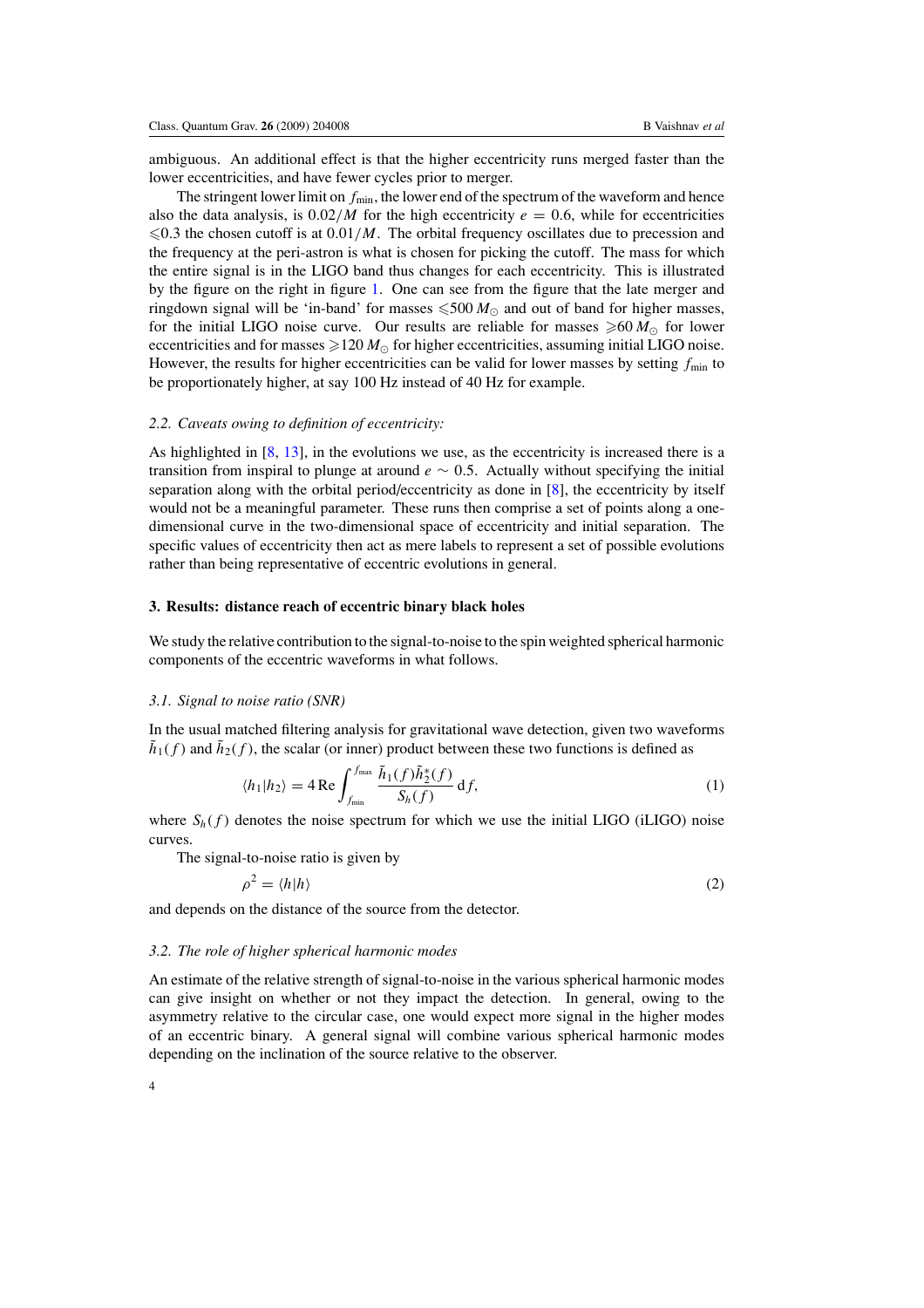<span id="page-4-0"></span>ambiguous. An additional effect is that the higher eccentricity runs merged faster than the lower eccentricities, and have fewer cycles prior to merger.

The stringent lower limit on  $f_{\text{min}}$ , the lower end of the spectrum of the waveform and hence also the data analysis, is  $0.02/M$  for the high eccentricity  $e = 0.6$ , while for eccentricities  $\leq 0.3$  the chosen cutoff is at  $0.01/M$ . The orbital frequency oscillates due to precession and the frequency at the peri-astron is what is chosen for picking the cutoff. The mass for which the entire signal is in the LIGO band thus changes for each eccentricity. This is illustrated by the figure on the right in figure [1.](#page-3-0) One can see from the figure that the late merger and ringdown signal will be 'in-band' for masses  $\leqslant 500\,M_\odot$  and out of band for higher masses, for the initial LIGO noise curve. Our results are reliable for masses  $\geq 60 M_{\odot}$  for lower eccentricities and for masses  $\geqslant$  120  $M_{\odot}$  for higher eccentricities, assuming initial LIGO noise. However, the results for higher eccentricities can be valid for lower masses by setting  $f_{\text{min}}$  to be proportionately higher, at say 100 Hz instead of 40 Hz for example.

## *2.2. Caveats owing to definition of eccentricity:*

As highlighted in [\[8](#page-9-0), [13\]](#page-9-0), in the evolutions we use, as the eccentricity is increased there is a transition from inspiral to plunge at around *e* ∼ 0*.*5. Actually without specifying the initial separation along with the orbital period/eccentricity as done in [\[8](#page-9-0)], the eccentricity by itself would not be a meaningful parameter. These runs then comprise a set of points along a onedimensional curve in the two-dimensional space of eccentricity and initial separation. The specific values of eccentricity then act as mere labels to represent a set of possible evolutions rather than being representative of eccentric evolutions in general.

## **3. Results: distance reach of eccentric binary black holes**

We study the relative contribution to the signal-to-noise to the spin weighted spherical harmonic components of the eccentric waveforms in what follows.

#### *3.1. Signal to noise ratio (SNR)*

In the usual matched filtering analysis for gravitational wave detection, given two waveforms  $h_1(f)$  and  $h_2(f)$ , the scalar (or inner) product between these two functions is defined as

$$
\langle h_1 | h_2 \rangle = 4 \operatorname{Re} \int_{f_{\min}}^{f_{\max}} \frac{\tilde{h}_1(f) \tilde{h}_2^*(f)}{S_h(f)} \, df,
$$
\n<sup>(1)</sup>

where  $S_h(f)$  denotes the noise spectrum for which we use the initial LIGO (iLIGO) noise curves.

The signal-to-noise ratio is given by

$$
\rho^2 = \langle h|h\rangle \tag{2}
$$

and depends on the distance of the source from the detector.

#### *3.2. The role of higher spherical harmonic modes*

An estimate of the relative strength of signal-to-noise in the various spherical harmonic modes can give insight on whether or not they impact the detection. In general, owing to the asymmetry relative to the circular case, one would expect more signal in the higher modes of an eccentric binary. A general signal will combine various spherical harmonic modes depending on the inclination of the source relative to the observer.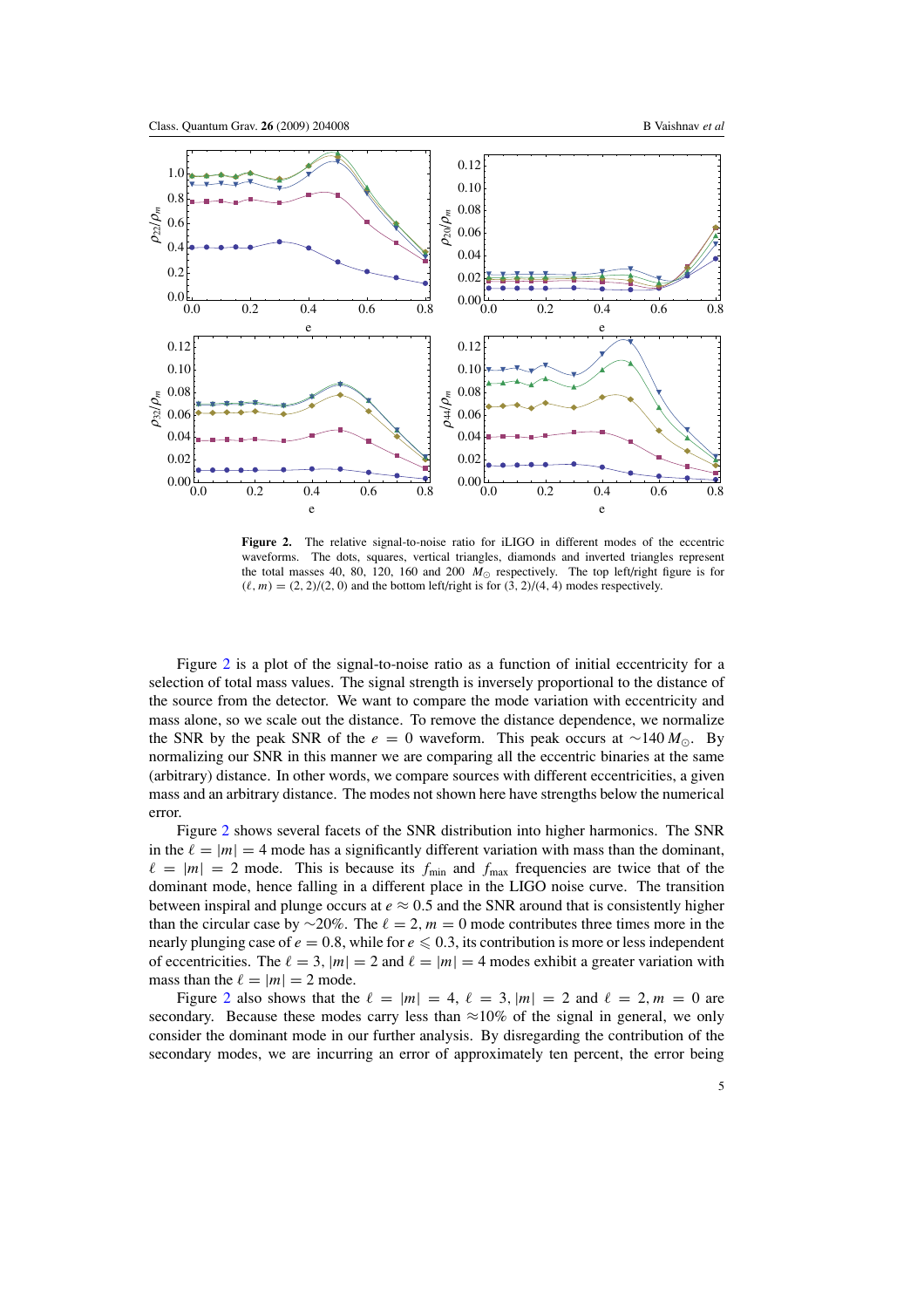

**Figure 2.** The relative signal-to-noise ratio for iLIGO in different modes of the eccentric waveforms. The dots, squares, vertical triangles, diamonds and inverted triangles represent the total masses 40, 80, 120, 160 and 200  $M_{\odot}$  respectively. The top left/right figure is for  $(\ell, m) = (2, 2)/(2, 0)$  and the bottom left/right is for  $(3, 2)/(4, 4)$  modes respectively.

Figure 2 is a plot of the signal-to-noise ratio as a function of initial eccentricity for a selection of total mass values. The signal strength is inversely proportional to the distance of the source from the detector. We want to compare the mode variation with eccentricity and mass alone, so we scale out the distance. To remove the distance dependence, we normalize the SNR by the peak SNR of the  $e = 0$  waveform. This peak occurs at ~140  $M_{\odot}$ . By normalizing our SNR in this manner we are comparing all the eccentric binaries at the same (arbitrary) distance. In other words, we compare sources with different eccentricities, a given mass and an arbitrary distance. The modes not shown here have strengths below the numerical error.

Figure 2 shows several facets of the SNR distribution into higher harmonics. The SNR in the  $\ell = |m| = 4$  mode has a significantly different variation with mass than the dominant,  $\ell = |m| = 2$  mode. This is because its  $f_{\text{min}}$  and  $f_{\text{max}}$  frequencies are twice that of the dominant mode, hence falling in a different place in the LIGO noise curve. The transition between inspiral and plunge occurs at  $e \approx 0.5$  and the SNR around that is consistently higher than the circular case by ∼20%. The  $\ell = 2, m = 0$  mode contributes three times more in the nearly plunging case of  $e = 0.8$ , while for  $e \le 0.3$ , its contribution is more or less independent of eccentricities. The  $\ell = 3$ ,  $|m| = 2$  and  $\ell = |m| = 4$  modes exhibit a greater variation with mass than the  $\ell = |m| = 2$  mode.

Figure 2 also shows that the  $\ell = |m| = 4$ ,  $\ell = 3$ ,  $|m| = 2$  and  $\ell = 2$ ,  $m = 0$  are secondary. Because these modes carry less than  $\approx 10\%$  of the signal in general, we only consider the dominant mode in our further analysis. By disregarding the contribution of the secondary modes, we are incurring an error of approximately ten percent, the error being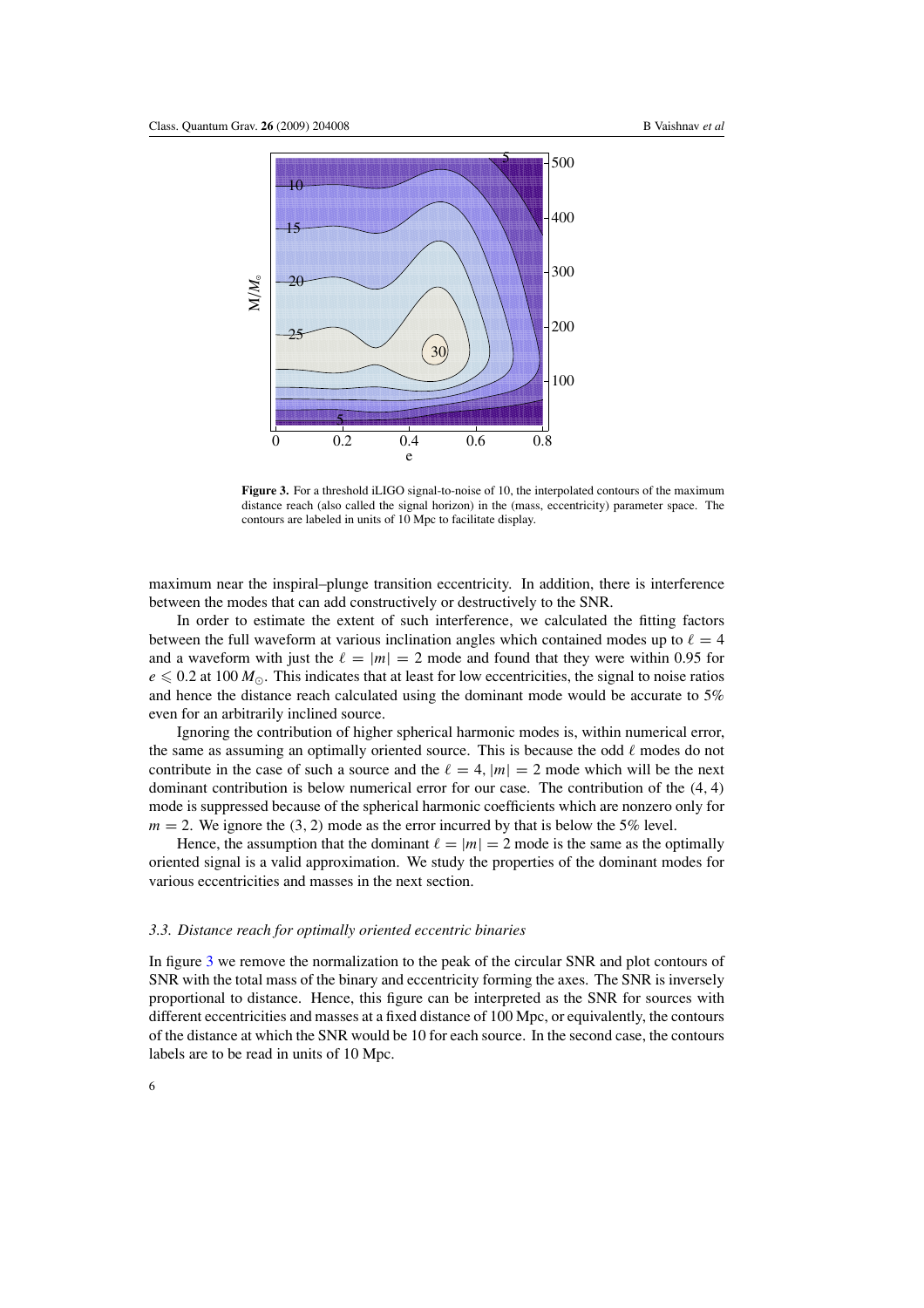<span id="page-6-0"></span>

**Figure 3.** For a threshold iLIGO signal-to-noise of 10, the interpolated contours of the maximum distance reach (also called the signal horizon) in the (mass, eccentricity) parameter space. The contours are labeled in units of 10 Mpc to facilitate display.

maximum near the inspiral–plunge transition eccentricity. In addition, there is interference between the modes that can add constructively or destructively to the SNR.

In order to estimate the extent of such interference, we calculated the fitting factors between the full waveform at various inclination angles which contained modes up to  $\ell = 4$ and a waveform with just the  $\ell = |m| = 2$  mode and found that they were within 0.95 for  $e \le 0.2$  at 100  $M_{\odot}$ . This indicates that at least for low eccentricities, the signal to noise ratios and hence the distance reach calculated using the dominant mode would be accurate to 5% even for an arbitrarily inclined source.

Ignoring the contribution of higher spherical harmonic modes is, within numerical error, the same as assuming an optimally oriented source. This is because the odd  $\ell$  modes do not contribute in the case of such a source and the  $\ell = 4$ ,  $|m| = 2$  mode which will be the next dominant contribution is below numerical error for our case. The contribution of the *(*4*,* 4*)* mode is suppressed because of the spherical harmonic coefficients which are nonzero only for  $m = 2$ . We ignore the (3, 2) mode as the error incurred by that is below the 5% level.

Hence, the assumption that the dominant  $\ell = |m| = 2$  mode is the same as the optimally oriented signal is a valid approximation. We study the properties of the dominant modes for various eccentricities and masses in the next section.

#### *3.3. Distance reach for optimally oriented eccentric binaries*

In figure 3 we remove the normalization to the peak of the circular SNR and plot contours of SNR with the total mass of the binary and eccentricity forming the axes. The SNR is inversely proportional to distance. Hence, this figure can be interpreted as the SNR for sources with different eccentricities and masses at a fixed distance of 100 Mpc, or equivalently, the contours of the distance at which the SNR would be 10 for each source. In the second case, the contours labels are to be read in units of 10 Mpc.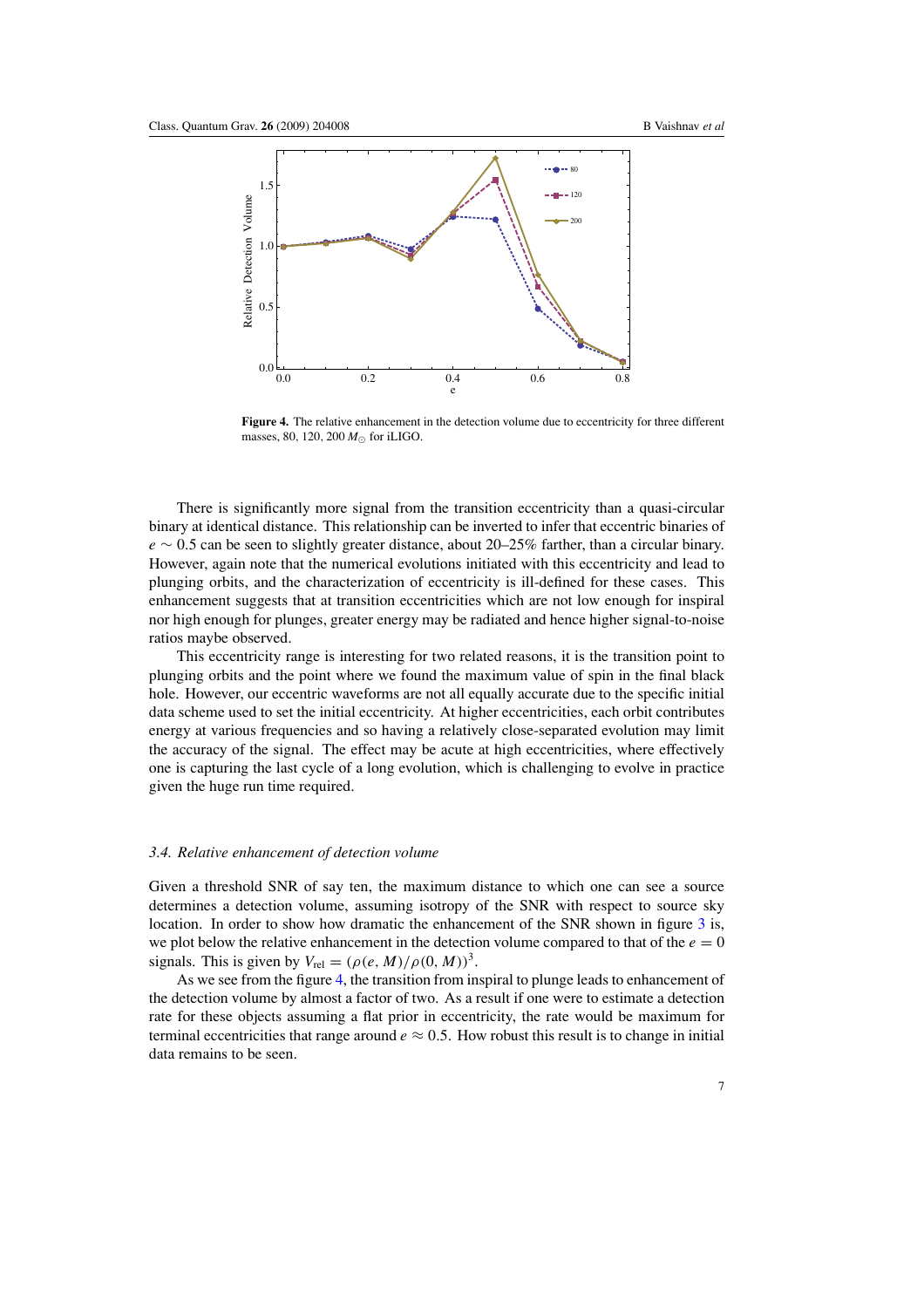

Figure 4. The relative enhancement in the detection volume due to eccentricity for three different masses, 80*,* 120*,* 200 *M*- for iLIGO.

There is significantly more signal from the transition eccentricity than a quasi-circular binary at identical distance. This relationship can be inverted to infer that eccentric binaries of *e* ∼ 0*.*5 can be seen to slightly greater distance, about 20–25% farther, than a circular binary. However, again note that the numerical evolutions initiated with this eccentricity and lead to plunging orbits, and the characterization of eccentricity is ill-defined for these cases. This enhancement suggests that at transition eccentricities which are not low enough for inspiral nor high enough for plunges, greater energy may be radiated and hence higher signal-to-noise ratios maybe observed.

This eccentricity range is interesting for two related reasons, it is the transition point to plunging orbits and the point where we found the maximum value of spin in the final black hole. However, our eccentric waveforms are not all equally accurate due to the specific initial data scheme used to set the initial eccentricity. At higher eccentricities, each orbit contributes energy at various frequencies and so having a relatively close-separated evolution may limit the accuracy of the signal. The effect may be acute at high eccentricities, where effectively one is capturing the last cycle of a long evolution, which is challenging to evolve in practice given the huge run time required.

#### *3.4. Relative enhancement of detection volume*

Given a threshold SNR of say ten, the maximum distance to which one can see a source determines a detection volume, assuming isotropy of the SNR with respect to source sky location. In order to show how dramatic the enhancement of the SNR shown in figure [3](#page-6-0) is, we plot below the relative enhancement in the detection volume compared to that of the  $e = 0$ signals. This is given by  $V_{rel} = (\rho(e, M)/\rho(0, M))^3$ .

As we see from the figure 4, the transition from inspiral to plunge leads to enhancement of the detection volume by almost a factor of two. As a result if one were to estimate a detection rate for these objects assuming a flat prior in eccentricity, the rate would be maximum for terminal eccentricities that range around  $e \approx 0.5$ . How robust this result is to change in initial data remains to be seen.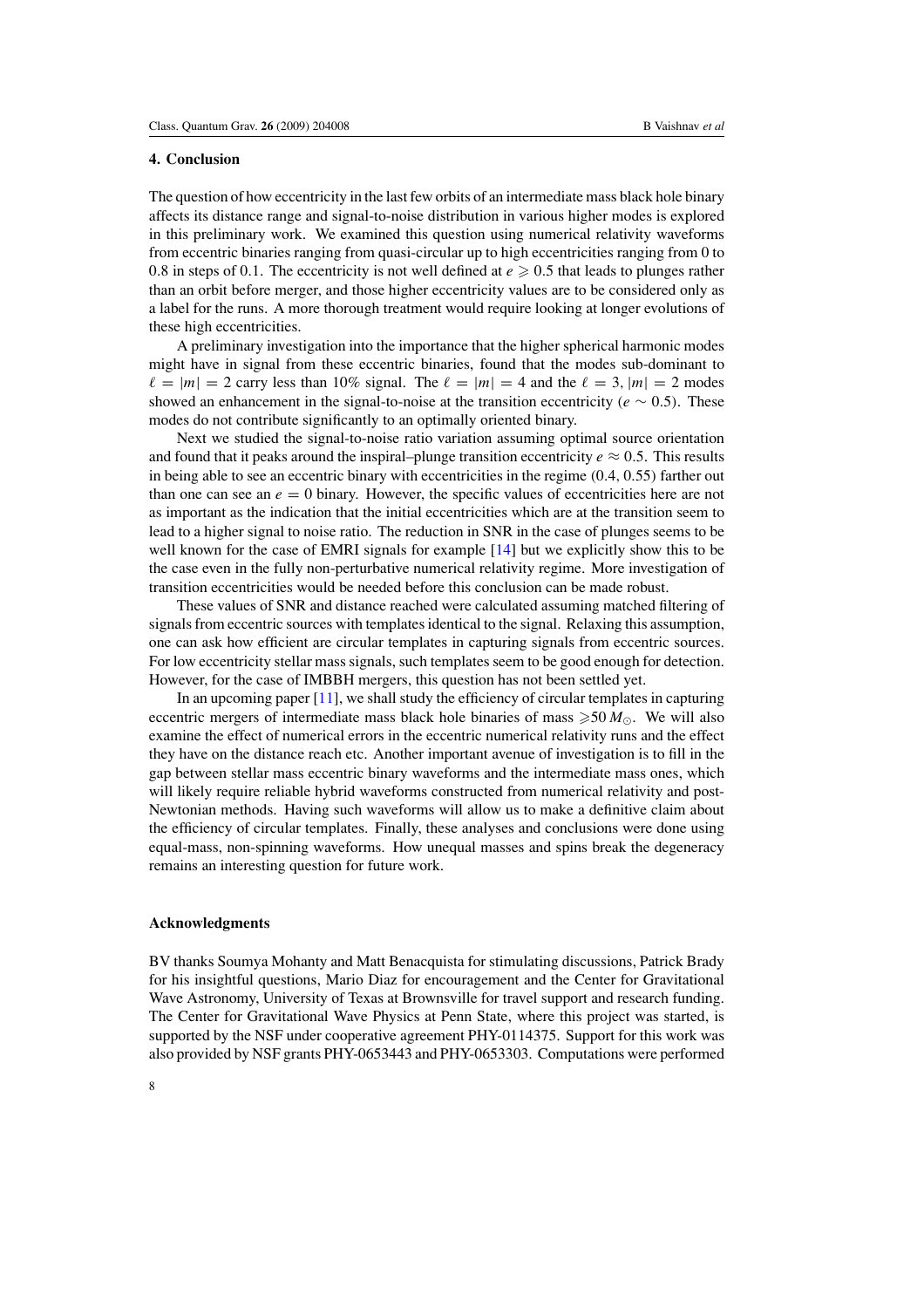## <span id="page-8-0"></span>**4. Conclusion**

The question of how eccentricity in the last few orbits of an intermediate mass black hole binary affects its distance range and signal-to-noise distribution in various higher modes is explored in this preliminary work. We examined this question using numerical relativity waveforms from eccentric binaries ranging from quasi-circular up to high eccentricities ranging from 0 to 0.8 in steps of 0.1. The eccentricity is not well defined at  $e \ge 0.5$  that leads to plunges rather than an orbit before merger, and those higher eccentricity values are to be considered only as a label for the runs. A more thorough treatment would require looking at longer evolutions of these high eccentricities.

A preliminary investigation into the importance that the higher spherical harmonic modes might have in signal from these eccentric binaries, found that the modes sub-dominant to  $\ell = |m| = 2$  carry less than 10% signal. The  $\ell = |m| = 4$  and the  $\ell = 3$ ,  $|m| = 2$  modes showed an enhancement in the signal-to-noise at the transition eccentricity  $(e \sim 0.5)$ . These modes do not contribute significantly to an optimally oriented binary.

Next we studied the signal-to-noise ratio variation assuming optimal source orientation and found that it peaks around the inspiral–plunge transition eccentricity  $e \approx 0.5$ . This results in being able to see an eccentric binary with eccentricities in the regime *(*0*.*4*,* 0*.*55*)* farther out than one can see an  $e = 0$  binary. However, the specific values of eccentricities here are not as important as the indication that the initial eccentricities which are at the transition seem to lead to a higher signal to noise ratio. The reduction in SNR in the case of plunges seems to be well known for the case of EMRI signals for example [\[14](#page-9-0)] but we explicitly show this to be the case even in the fully non-perturbative numerical relativity regime. More investigation of transition eccentricities would be needed before this conclusion can be made robust.

These values of SNR and distance reached were calculated assuming matched filtering of signals from eccentric sources with templates identical to the signal. Relaxing this assumption, one can ask how efficient are circular templates in capturing signals from eccentric sources. For low eccentricity stellar mass signals, such templates seem to be good enough for detection. However, for the case of IMBBH mergers, this question has not been settled yet.

In an upcoming paper [\[11\]](#page-9-0), we shall study the efficiency of circular templates in capturing eccentric mergers of intermediate mass black hole binaries of mass  $\geq 50 M_{\odot}$ . We will also examine the effect of numerical errors in the eccentric numerical relativity runs and the effect they have on the distance reach etc. Another important avenue of investigation is to fill in the gap between stellar mass eccentric binary waveforms and the intermediate mass ones, which will likely require reliable hybrid waveforms constructed from numerical relativity and post-Newtonian methods. Having such waveforms will allow us to make a definitive claim about the efficiency of circular templates. Finally, these analyses and conclusions were done using equal-mass, non-spinning waveforms. How unequal masses and spins break the degeneracy remains an interesting question for future work.

## **Acknowledgments**

BV thanks Soumya Mohanty and Matt Benacquista for stimulating discussions, Patrick Brady for his insightful questions, Mario Diaz for encouragement and the Center for Gravitational Wave Astronomy, University of Texas at Brownsville for travel support and research funding. The Center for Gravitational Wave Physics at Penn State, where this project was started, is supported by the NSF under cooperative agreement PHY-0114375. Support for this work was also provided by NSF grants PHY-0653443 and PHY-0653303. Computations were performed